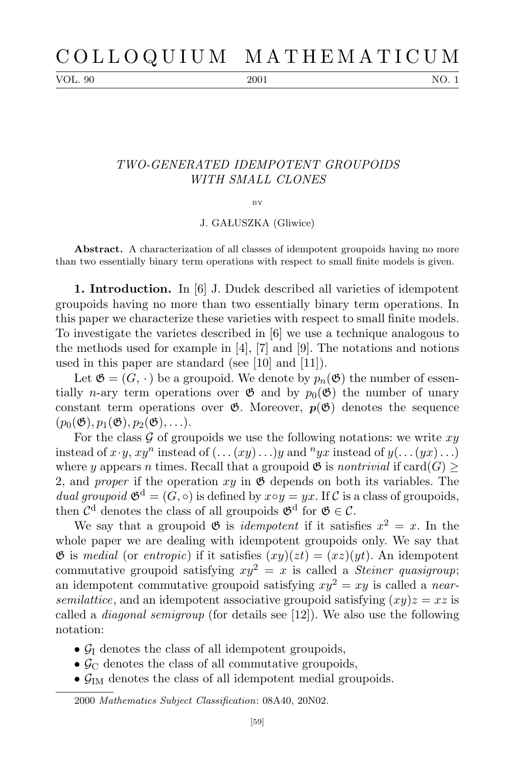VOL. 90 2001 2001 NO. 1

## *TWO-GENERATED IDEMPOTENT GROUPOIDS WITH SMALL CLONES*

## $BV$

J. GAŁUSZKA (Gliwice)

**Abstract.** A characterization of all classes of idempotent groupoids having no more than two essentially binary term operations with respect to small finite models is given.

**1. Introduction.** In [6] J. Dudek described all varieties of idempotent groupoids having no more than two essentially binary term operations. In this paper we characterize these varieties with respect to small finite models. To investigate the varietes described in [6] we use a technique analogous to the methods used for example in [4], [7] and [9]. The notations and notions used in this paper are standard (see [10] and [11]).

Let  $\mathfrak{G} = (G, \cdot)$  be a groupoid. We denote by  $p_n(\mathfrak{G})$  the number of essentially *n*-ary term operations over  $\mathfrak{G}$  and by  $p_0(\mathfrak{G})$  the number of unary constant term operations over  $\mathfrak{G}$ . Moreover,  $p(\mathfrak{G})$  denotes the sequence  $(p_0(\mathfrak{G}), p_1(\mathfrak{G}), p_2(\mathfrak{G}), \ldots).$ 

For the class  $G$  of groupoids we use the following notations: we write  $xy$ instead of  $x \cdot y$ ,  $xy^n$  instead of  $(\ldots (xy) \ldots)y$  and  $^nyx$  instead of  $y(\ldots (yx) \ldots)$ where *y* appears *n* times. Recall that a groupoid  $\mathfrak{G}$  is *nontrivial* if card(*G*)  $\geq$ 2, and *proper* if the operation  $xy$  in  $\mathfrak{G}$  depends on both its variables. The *dual groupoid*  $\mathfrak{G}^d = (G, \circ)$  is defined by  $x \circ y = yx$ . If *C* is a class of groupoids, then  $\mathcal{C}^d$  denotes the class of all groupoids  $\mathfrak{G}^d$  for  $\mathfrak{G} \in \mathcal{C}$ .

We say that a groupoid  $\mathfrak{G}$  is *idempotent* if it satisfies  $x^2 = x$ . In the whole paper we are dealing with idempotent groupoids only. We say that G is *medial* (or *entropic*) if it satisfies  $(xy)(zt) = (xz)(yt)$ . An idempotent commutative groupoid satisfying  $xy^2 = x$  is called a *Steiner quasigroup*; an idempotent commutative groupoid satisfying  $x y^2 = x y$  is called a *nearsemilattice*, and an idempotent associative groupoid satisfying  $(xy)z = xz$  is called a *diagonal semigroup* (for details see [12]). We also use the following notation:

- $\mathcal{G}_I$  denotes the class of all idempotent groupoids,
- $\mathcal{G}_{\mathcal{C}}$  denotes the class of all commutative groupoids,
- $\bullet$   $\mathcal{G}_{IM}$  denotes the class of all idempotent medial groupoids.

2000 *Mathematics Subject Classification*: 08A40, 20N02.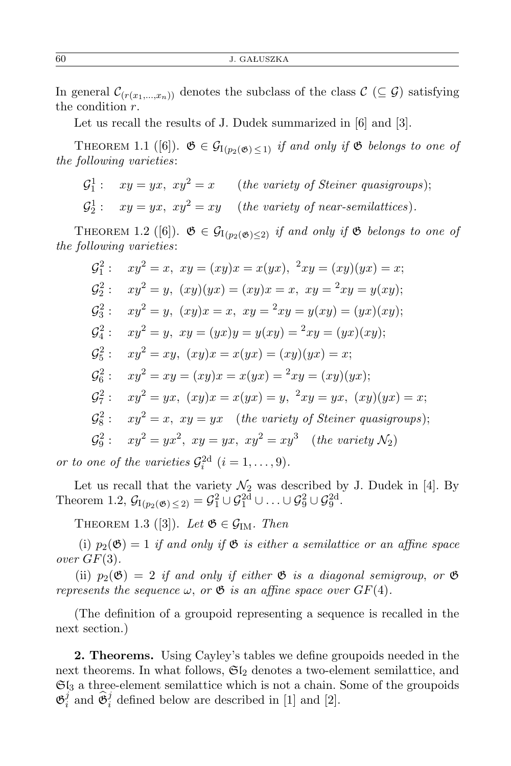In general  $\mathcal{C}_{(r(x_1,\ldots,x_n))}$  denotes the subclass of the class  $\mathcal{C}(\subseteq \mathcal{G})$  satisfying the condition *r*.

Let us recall the results of J. Dudek summarized in [6] and [3].

THEOREM 1.1 ([6]).  $\mathfrak{G} \in \mathcal{G}_{I(p_2(\mathfrak{G}) \leq 1)}$  *if and only if*  $\mathfrak{G}$  *belongs to one of the following varieties*:

- $\mathcal{G}_1^1:$  *xy* = *yx*,  $xy^2 = x$  (*the variety of Steiner quasigroups*);
- $\mathcal{G}_2^1$ :  $xy = yx$ ,  $xy^2 = xy$  (*the variety of near-semilattices*).

THEOREM 1.2 ([6]).  $\mathfrak{G} \in \mathcal{G}_{I(p_2(\mathfrak{G}) \leq 2)}$  *if and only if*  $\mathfrak{G}$  *belongs to one of the following varieties*:

$$
G_1^2: xy^2 = x, xy = (xy)x = x(yx), \,^2xy = (xy)(yx) = x;
$$
  
\n
$$
G_2^2: xy^2 = y, (xy)(yx) = (xy)x = x, xy = x^2xy = y(xy);
$$
  
\n
$$
G_3^2: xy^2 = y, (xy)x = x, xy = x^2xy = y(xy) = (yx)(xy);
$$
  
\n
$$
G_4^2: xy^2 = y, xy = (yx)y = y(xy) = x^2xy = (yx)(xy);
$$
  
\n
$$
G_5^2: xy^2 = xy, (xy)x = x(yx) = (xy)(yx) = x;
$$
  
\n
$$
G_6^2: xy^2 = xy = (xy)x = x(yx) = y, \,^2xy = yx, (xy)(yx) = x;
$$
  
\n
$$
G_6^2: xy^2 = x, xy = yx (the variety of Steiner quasigroups);
$$
  
\n
$$
G_6^2: xy^2 = yx^2, xy = yx, xy^2 = xy^3 (the variety X2)
$$

*or to one of the varieties*  $\mathcal{G}_i^{2d}$   $(i = 1, \ldots, 9)$ *.* 

Let us recall that the variety  $\mathcal{N}_2$  was described by J. Dudek in [4]. By Theorem 1.2,  $\mathcal{G}_{I(p_2(\mathfrak{G}) \leq 2)} = \mathcal{G}_1^2 \cup \mathcal{G}_1^{2d} \cup \ldots \cup \mathcal{G}_9^2 \cup \mathcal{G}_9^{2d}$ .

THEOREM 1.3 ([3]). Let  $\mathfrak{G} \in \mathcal{G}_{\mathrm{IM}}$ . Then

(i)  $p_2(\mathfrak{G}) = 1$  *if and only if*  $\mathfrak{G}$  *is either a semilattice or an affine space over GF*(3)*.*

(ii)  $p_2(\mathfrak{G}) = 2$  *if and only if either*  $\mathfrak{G}$  *is a diagonal semigroup, or*  $\mathfrak{G}$ *represents the sequence*  $\omega$ , *or*  $\mathfrak{G}$  *is an affine space over*  $GF(4)$ *.* 

(The definition of a groupoid representing a sequence is recalled in the next section.)

**2. Theorems.** Using Cayley's tables we define groupoids needed in the next theorems. In what follows,  $\mathfrak{SI}_2$  denotes a two-element semilattice, and  $\mathfrak{SI}_3$  a three-element semilattice which is not a chain. Some of the groupoids  $\mathfrak{G}^j_i$  $\hat{\theta}$ <sup>*j*</sup> and  $\hat{\theta}$ <sup>*i*</sup><sub>*i*</sub> defined below are described in [1] and [2].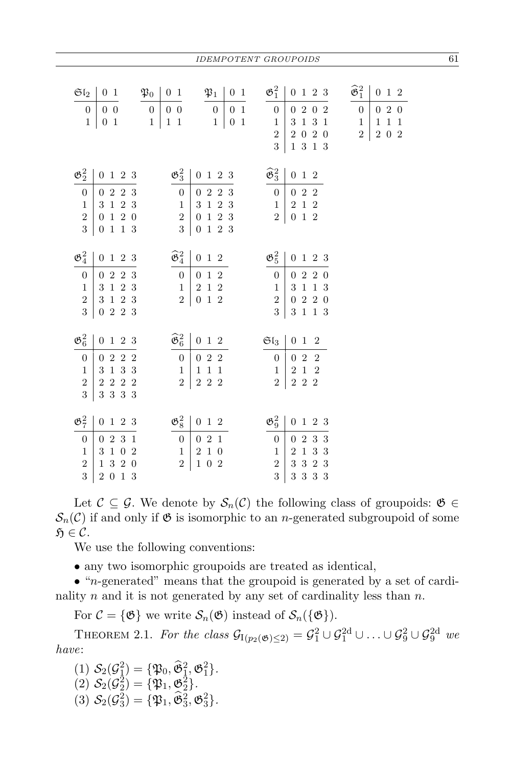| $\mathfrak{SI}_2$<br>$\mathfrak{P}_0$<br>$0\;\;1$<br>$0\,0$<br>$\boldsymbol{0}$<br>$\overline{0}$<br>$0\hskip 4pt 1$<br>$\mathbf{1}$<br>$\mathbf 1$ | $\mathfrak{P}_1$<br>$0\hskip 4pt 1$<br>0 <sub>1</sub><br>$0\quad 0$<br>$\boldsymbol{0}$<br>$\mathbf{1}$<br>$\overline{0}$<br>$1\vert$<br>$\boldsymbol{0}$<br>$\,1$<br>$\mathbf{1}$<br>$\mathbf{1}$ | $\mathfrak{G}^2_1$<br>0 1 2 3<br>2 0<br>$\overline{2}$<br>$\boldsymbol{0}$<br>$\boldsymbol{0}$<br>1 3<br>$\sqrt{3}$<br>$\mathbf{1}$<br>$\mathbf{1}$<br>$0\hskip 4pt 2$<br>$\overline{2}$<br>$\,2$<br>$\boldsymbol{0}$<br>3<br>$1\,$ 3 $\,1\,$ 3 $\,$ | $\widehat{\mathfrak{G}}_1^2$<br>$0\hspace{0.1cm}\widehat{} \hspace{0.1cm} 1\hspace{0.1cm}\widehat{} \hspace{0.1cm} 2$<br>2 0<br>$\overline{0}$<br>$\overline{0}$<br>$\,1\,$<br>$\mathbf 1$<br>$\mathbf{1}$<br>$\mathbf{1}$<br>$\,2$<br>$\,2$<br>0 2 |
|-----------------------------------------------------------------------------------------------------------------------------------------------------|----------------------------------------------------------------------------------------------------------------------------------------------------------------------------------------------------|------------------------------------------------------------------------------------------------------------------------------------------------------------------------------------------------------------------------------------------------------|-----------------------------------------------------------------------------------------------------------------------------------------------------------------------------------------------------------------------------------------------------|
| $\mathfrak{G}^2_2$<br>0 1 2 3                                                                                                                       | $\mathfrak{G}_3^2$<br>0 1 2 3                                                                                                                                                                      | $\widehat{\mathfrak{G}}_3^2$<br>$0\,$ 1 $\,2$                                                                                                                                                                                                        |                                                                                                                                                                                                                                                     |
| 0 2 2 3<br>$\boldsymbol{0}$                                                                                                                         | $2\hskip 4pt 2\hskip 4pt$<br>-3<br>$\boldsymbol{0}$<br>$\overline{0}$                                                                                                                              | 022<br>$\boldsymbol{0}$                                                                                                                                                                                                                              |                                                                                                                                                                                                                                                     |
| $3\hspace{0.1cm}\widehat{} \hspace{0.1cm} 1\hspace{0.1cm}\widehat{} \hspace{0.1cm} 2\hspace{0.1cm}\widehat{} \hspace{0.1cm} 3$<br>$\,1\,$           | $\,1\,$<br>$2\,$ $3\,$<br>$\mathbf{1}$<br>3                                                                                                                                                        | $2\hspace{0.1cm}\widehat{} \hspace{0.1cm} 1\hspace{0.1cm}\widehat{} \hspace{0.1cm} 2$<br>$\mathbf{1}$                                                                                                                                                |                                                                                                                                                                                                                                                     |
| $1\hspace{0.1cm} 2\hspace{0.1cm} 0$<br>$\sqrt{2}$<br>$\boldsymbol{0}$                                                                               | $\sqrt{2}$<br>$\,1\,$<br>$\sqrt{3}$<br>$\sqrt{2}$<br>$\boldsymbol{0}$                                                                                                                              | $0\hspace{0.1cm}\widehat{} \hspace{0.1cm} 1\hspace{0.1cm}\widehat{} \hspace{0.1cm} 2$<br>$\overline{2}$                                                                                                                                              |                                                                                                                                                                                                                                                     |
| 3<br>1 1 3<br>$\boldsymbol{0}$                                                                                                                      | $\sqrt{3}$<br>0 1 2 3                                                                                                                                                                              |                                                                                                                                                                                                                                                      |                                                                                                                                                                                                                                                     |
|                                                                                                                                                     |                                                                                                                                                                                                    |                                                                                                                                                                                                                                                      |                                                                                                                                                                                                                                                     |
| $\mathfrak{G}^2_4$<br>$0\ 1\ 2\ 3$                                                                                                                  | $\widehat{\mathfrak{G}}_4^2$<br>$0\,$ 1 $\,2$                                                                                                                                                      | $\mathfrak{G}_5^2$<br>0 1 2 3                                                                                                                                                                                                                        |                                                                                                                                                                                                                                                     |
| 0 2 2 3<br>$\boldsymbol{0}$                                                                                                                         | $0\hspace{0.1cm}\widehat{} \hspace{0.1cm} 1\hspace{0.1cm}\widehat{} \hspace{0.1cm} 2$<br>$\boldsymbol{0}$                                                                                          | 2 2 0<br>$\boldsymbol{0}$<br>$\boldsymbol{0}$                                                                                                                                                                                                        |                                                                                                                                                                                                                                                     |
| $1\hspace{0.1cm} 2\hspace{0.1cm} 3$<br>$\,1\,$<br>3                                                                                                 | $\,1\,$<br>$\sqrt{2}$<br>$\,2$<br>$\mathbf{1}$                                                                                                                                                     | $\,1\,$<br>1 3<br>$\sqrt{3}$<br>$\mathbf{1}$                                                                                                                                                                                                         |                                                                                                                                                                                                                                                     |
| $\overline{2}$<br>3 1 2 3                                                                                                                           | $\overline{2}$<br>$0\hspace{0.1cm}\widehat{} \hspace{0.1cm} 1\hspace{0.1cm}\widehat{} \hspace{0.1cm} 2$                                                                                            | $2\hskip 4pt 2\hskip 4pt 0$<br>$\overline{2}$<br>$\boldsymbol{0}$                                                                                                                                                                                    |                                                                                                                                                                                                                                                     |
| 3<br>0 2 2 3                                                                                                                                        |                                                                                                                                                                                                    | 3<br>1 3<br>$\mathbf{1}$<br>$\sqrt{3}$                                                                                                                                                                                                               |                                                                                                                                                                                                                                                     |
| $\mathfrak{G}_6^2$<br>0 1 2 3                                                                                                                       | $\widehat{\mathfrak{G}}_6^2$<br>$0\hspace{0.1cm}\widehat{} \hspace{0.1cm} 1\hspace{0.1cm}\widehat{} \hspace{0.1cm} 2$                                                                              | $\mathfrak{Sl}_3$<br>$0 \thinspace 1 \thinspace 2$                                                                                                                                                                                                   |                                                                                                                                                                                                                                                     |
| 2 2 2<br>$\overline{0}$<br>$\overline{0}$                                                                                                           | 022<br>$\overline{0}$                                                                                                                                                                              | 022<br>$\overline{0}$                                                                                                                                                                                                                                |                                                                                                                                                                                                                                                     |
| $1\,$ 3 $\,$ 3 $\,$<br>$\sqrt{3}$<br>$\mathbf{1}$                                                                                                   | $1\;\;1$<br>$\,1\,$<br>$\mathbf{1}$                                                                                                                                                                | $2\,$ $1\,$<br>$\sqrt{2}$<br>$\mathbf{1}$                                                                                                                                                                                                            |                                                                                                                                                                                                                                                     |
| $2\hspace{0.1cm} 2\hspace{0.1cm} 2$<br>$\overline{2}$<br>$\,2$                                                                                      | $\sqrt{2}$<br>$2\hspace{0.1cm} 2\hspace{0.1cm} 2$                                                                                                                                                  | 2 2<br>$\overline{2}$<br>$\,2$                                                                                                                                                                                                                       |                                                                                                                                                                                                                                                     |
| 3<br>$3\,$ $3\,$ $3\,$ $3\,$                                                                                                                        |                                                                                                                                                                                                    |                                                                                                                                                                                                                                                      |                                                                                                                                                                                                                                                     |
| $\mathfrak{G}_7^2$<br>$\boldsymbol{0}$<br>123                                                                                                       | $\mathfrak{G}_8^2$<br>$0\,$ 1 $\,2$                                                                                                                                                                | $\mathfrak{G}^2_9$<br>$\mathbf{0}$<br>1 2 3                                                                                                                                                                                                          |                                                                                                                                                                                                                                                     |
|                                                                                                                                                     |                                                                                                                                                                                                    |                                                                                                                                                                                                                                                      |                                                                                                                                                                                                                                                     |
| 2 3<br>$\overline{0}$<br>$\mathbf{1}$<br>$\overline{0}$<br>$\boldsymbol{0}$<br>$\,1\,$<br>$\boldsymbol{2}$<br>$\mathbf{1}$<br>$\,3$                 | $0\hskip 4pt 2$<br>$\mathbf{1}$<br>$\boldsymbol{0}$<br>$\,1\,$<br>$\,2$<br>$\boldsymbol{0}$<br>$\,1$                                                                                               | $\sqrt{2}$<br>$\sqrt{3}$<br>$\overline{0}$<br>-3<br>$\boldsymbol{0}$<br>$\sqrt{3}$<br>$\,1\,$<br>3<br>$\boldsymbol{2}$<br>$\mathbf{1}$                                                                                                               |                                                                                                                                                                                                                                                     |
| $\overline{2}$<br>3 2<br>$\mathbf{1}$<br>$\boldsymbol{0}$                                                                                           | $\boldsymbol{0}$<br>$\,2$<br>$\mathbf{1}$<br>$\overline{2}$                                                                                                                                        | $\sqrt{3}$<br>$2\mspace{3mu}3$<br>$\sqrt{3}$<br>$\overline{2}$                                                                                                                                                                                       |                                                                                                                                                                                                                                                     |
| 3<br>0 1 3<br>$\overline{2}$                                                                                                                        |                                                                                                                                                                                                    | $3\,$ $3\,$ $3\,$<br>3<br>3                                                                                                                                                                                                                          |                                                                                                                                                                                                                                                     |

Let  $C \subseteq \mathcal{G}$ . We denote by  $\mathcal{S}_n(\mathcal{C})$  the following class of groupoids:  $\mathfrak{G} \in$  $S_n(\mathcal{C})$  if and only if  $\mathfrak{G}$  is isomorphic to an *n*-generated subgroupoid of some  $\mathfrak{H} \in \mathcal{C}$ .

We use the following conventions:

• any two isomorphic groupoids are treated as identical,

*•* "*n*-generated" means that the groupoid is generated by a set of cardinality *n* and it is not generated by any set of cardinality less than *n*.

For  $\mathcal{C} = \{\mathfrak{G}\}\$ we write  $\mathcal{S}_n(\mathfrak{G})$  instead of  $\mathcal{S}_n(\{\mathfrak{G}\})$ .

THEOREM 2.1. *For the class*  $\mathcal{G}_{I(p_2(\mathfrak{G}) \leq 2)} = \mathcal{G}_1^2 \cup \mathcal{G}_1^{2d} \cup \ldots \cup \mathcal{G}_9^2 \cup \mathcal{G}_9^{2d}$  *we have*:

(1)  $S_2(\mathcal{G}_1^2) = {\mathfrak{P}_0, \hat{\mathfrak{G}}_1^2, \mathfrak{G}_1^2}.$  $(2)$   $S_2(\mathcal{G}_2^2) = {\mathfrak{P}_1, \mathfrak{G}_2^2}.$  $(3)$   $S_2(\mathcal{G}_3^2) = {\mathfrak{F}_1, \mathfrak{F}_3^2, \mathfrak{G}_3^2}.$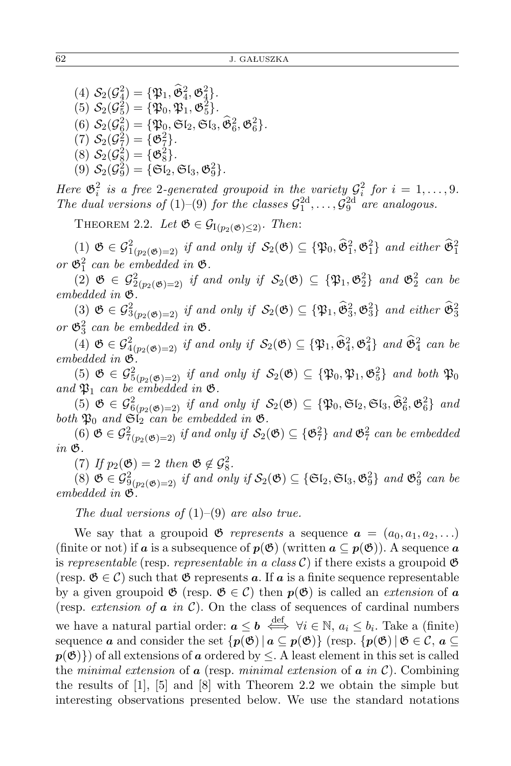(4)  $S_2(\mathcal{G}_4^2) = {\mathfrak{P}_1, \hat{\mathfrak{G}}_4^2, \mathfrak{G}_4^2}.$ (5)  $S_2(\mathcal{G}_5^2) = {\mathfrak{P}_0, \mathfrak{P}_1, \mathfrak{G}_5^2}.$ (6)  $S_2(\mathcal{G}_{\hat{g}}^2) = {\mathfrak{P}_0, \mathfrak{S}_2, \mathfrak{S}_3, \mathfrak{F}_6^2, \mathfrak{G}_6^2}.$  $(7)$   $S_2(\mathcal{G}_7^2) = {\mathfrak{G}_7^2}.$ (8)  $S_2(\mathcal{G}_8^2) = {\mathfrak{G}_8^2}.$  $(9)$   $S_2(\mathcal{G}_9^2) = \{ \mathfrak{S} \mathfrak{l}_2, \mathfrak{S} \mathfrak{l}_3, \mathfrak{G}_9^2 \}.$ 

*Here*  $\mathfrak{G}_i^2$  *is a free* 2-generated groupoid in the variety  $\mathcal{G}_i^2$  for  $i = 1, \ldots, 9$ . *The dual versions of* (1)–(9) *for the classes*  $\mathcal{G}_1^{2d}, \ldots, \mathcal{G}_9^{2d}$  *are analogous.* 

THEOREM 2.2. Let  $\mathfrak{G} \in \mathcal{G}_{I(p_2(\mathfrak{G}) \leq 2)}$ . Then:

 $(1)$  **∅**  $\in G_{1(p_2(\mathfrak{G})=2)}^2$  *if and only if*  $S_2(\mathfrak{G}) \subseteq {\mathfrak{P}_0, \widehat{\mathfrak{G}}_1^2, \mathfrak{G}_1^2}$  *and either*  $\widehat{\mathfrak{G}}_1^2$ or  $\mathfrak{G}^2_1$  can be embedded in  $\mathfrak{G}$ .

(2)  $\mathfrak{G} \in \mathcal{G}_{2(p_2(\mathfrak{G})=2)}^2$  *if and only if*  $\mathcal{S}_2(\mathfrak{G}) \subseteq {\mathfrak{P}_1, \mathfrak{G}_2^2}$  *and*  $\mathfrak{G}_2^2$  *can be embedded in* G*.*

 $(3)$   $\mathfrak{G} \in \mathcal{G}_{3(p_2(\mathfrak{G})=2)}^2$  *if and only if*  $\mathcal{S}_2(\mathfrak{G}) \subseteq {\mathfrak{P}_1, \widehat{\mathfrak{G}}_3^2, \mathfrak{G}_3^2}$  *and either*  $\widehat{\mathfrak{G}}_3^2$ or  $\mathfrak{G}_3^2$  can be embedded in  $\mathfrak{G}$ .

(4)  $\mathfrak{G} \in \mathcal{G}_{4(p_2(\mathfrak{G})=2)}^2$  *if and only if*  $\mathcal{S}_2(\mathfrak{G}) \subseteq {\mathfrak{P}_1, \hat{\mathfrak{G}}_4^2, \mathfrak{G}_4^2}$  *and*  $\hat{\mathfrak{G}}_4^2$  *can be embedded in* G*.*

 $(5)$   $\mathfrak{G} \in \mathcal{G}_{5(p_2(\mathfrak{G})=2)}^2$  *if and only if*  $\mathcal{S}_2(\mathfrak{G}) \subseteq {\mathfrak{P}_0, \mathfrak{P}_1, \mathfrak{G}_5^2}$  *and both*  $\mathfrak{P}_0$ and  $\mathfrak{P}_1$  *can be embedded in*  $\mathfrak{G}$ *.* 

 $(5)$   $\mathfrak{G} \in \mathcal{G}_{6(p_2(\mathfrak{G})=2)}^2$  *if and only if*  $\mathcal{S}_2(\mathfrak{G}) \subseteq {\mathfrak{P}_0, \mathfrak{S}_2, \mathfrak{S}_3, \hat{\mathfrak{G}}_6^2, \mathfrak{G}_6^2}$  *and both*  $\mathfrak{P}_0$  *and*  $\mathfrak{S}_2$  *can be embedded in*  $\mathfrak{G}$ *.* 

 $(6)$  **∅**  $\in G_{7(p_2(\mathfrak{G})=2)}^2$  *if and only if*  $S_2(\mathfrak{G}) \subseteq {\mathfrak{G}_7^2}$  *and*  $\mathfrak{G}_7^2$  *can be embedded in* G*.*

(7) If  $p_2(\mathfrak{G}) = 2$  then  $\mathfrak{G} \notin \mathcal{G}_8^2$ .

(8)  $\mathfrak{G} \in \mathcal{G}_{9(p_2(\mathfrak{G})=2)}^2$  *if and only if*  $\mathcal{S}_2(\mathfrak{G}) \subseteq {\mathfrak{G}_2, \mathfrak{G}_3, \mathfrak{G}_9^2}$  *and*  $\mathfrak{G}_9^2$  *can be embedded in* G*.*

*The dual versions of* (1)–(9) *are also true.*

We say that a groupoid  $\mathfrak{G}$  *represents* a sequence  $\mathbf{a} = (a_0, a_1, a_2, \ldots)$ (finite or not) if *a* is a subsequence of  $p(\mathfrak{G})$  (written  $a \subseteq p(\mathfrak{G})$ ). A sequence *a* is *representable* (resp. *representable in a class C*) if there exists a groupoid  $\mathfrak{G}$ (resp.  $\mathfrak{G} \in \mathcal{C}$ ) such that  $\mathfrak{G}$  represents *a*. If *a* is a finite sequence representable by a given groupoid  $\mathfrak{G}$  (resp.  $\mathfrak{G} \in \mathcal{C}$ ) then  $p(\mathfrak{G})$  is called an *extension* of **a** (resp. *extension of a in C*). On the class of sequences of cardinal numbers we have a natural partial order:  $a \leq b \iff \forall i \in \mathbb{N}, a_i \leq b_i$ . Take a (finite) sequence *a* and consider the set  $\{p(\mathfrak{G}) \mid a \subseteq p(\mathfrak{G})\}$  (resp.  $\{p(\mathfrak{G}) \mid \mathfrak{G} \in \mathcal{C}, a \subseteq$  $p(\mathfrak{G})$ }) of all extensions of *a* ordered by  $\leq$ . A least element in this set is called the *minimal extension* of *a* (resp. *minimal extension* of *a in C*). Combining the results of [1], [5] and [8] with Theorem 2.2 we obtain the simple but interesting observations presented below. We use the standard notations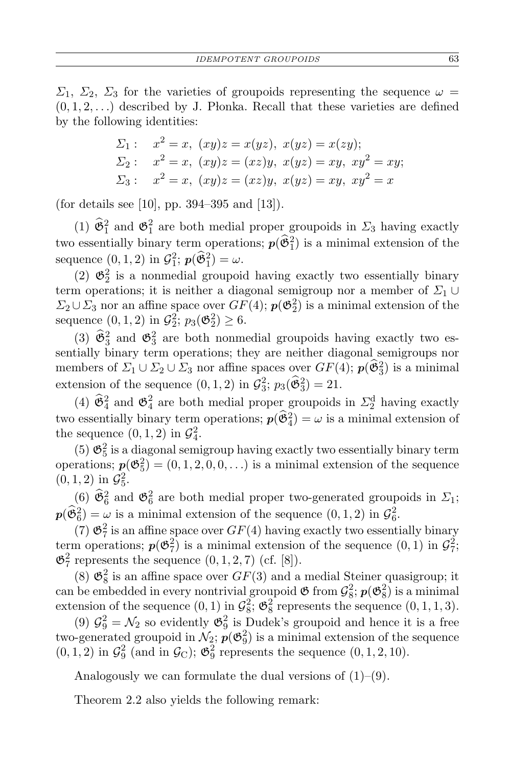*Σ*<sub>1</sub>, *Σ*<sub>2</sub>, *Σ*<sub>3</sub> for the varieties of groupoids representing the sequence  $ω =$  $(0,1,2,\ldots)$  described by J. Plonka. Recall that these varieties are defined by the following identities:

$$
\Sigma_1: \quad x^2 = x, \ (xy)z = x(yz), \ x(yz) = x(zy); \n\Sigma_2: \quad x^2 = x, \ (xy)z = (xz)y, \ x(yz) = xy, \ xy^2 = xy; \n\Sigma_3: \quad x^2 = x, \ (xy)z = (xz)y, \ x(yz) = xy, \ xy^2 = x
$$

(for details see [10], pp. 394–395 and [13]).

(1)  $\hat{\mathfrak{G}}_1^2$  and  $\mathfrak{G}_1^2$  are both medial proper groupoids in  $\Sigma_3$  having exactly two essentially binary term operations;  $p(\hat{\mathfrak{G}}_1^2)$  is a minimal extension of the sequence  $(0, 1, 2)$  in  $\mathcal{G}_1^2$ ;  $p(\hat{\mathfrak{G}}_1^2) = \omega$ .

(2)  $\mathfrak{G}_2^2$  is a nonmedial groupoid having exactly two essentially binary term operations; it is neither a diagonal semigroup nor a member of  $\Sigma_1 \cup$  $\Sigma_2 \cup \Sigma_3$  nor an affine space over  $GF(4)$ ;  $p(\mathfrak{G}_2^2)$  is a minimal extension of the sequence  $(0, 1, 2)$  in  $\mathcal{G}_2^2$ ;  $p_3(\mathfrak{G}_2^2) \geq 6$ .

(3)  $\hat{\mathfrak{G}}_3^2$  and  $\mathfrak{G}_3^2$  are both nonmedial groupoids having exactly two essentially binary term operations; they are neither diagonal semigroups nor members of  $\Sigma_1 \cup \Sigma_2 \cup \Sigma_3$  nor affine spaces over  $GF(4)$ ;  $p(\hat{\mathfrak{G}}_3^2)$  is a minimal extension of the sequence  $(0, 1, 2)$  in  $\mathcal{G}_3^2$ ;  $p_3(\hat{\mathfrak{G}}_3^2) = 21$ .

(4)  $\hat{\mathfrak{G}}_4^2$  and  $\mathfrak{G}_4^2$  are both medial proper groupoids in  $\Sigma_2^d$  having exactly two essentially binary term operations;  $p(\hat{\mathfrak{G}}_4^2) = \omega$  is a minimal extension of the sequence  $(0, 1, 2)$  in  $\mathcal{G}_4^2$ .

(5)  $\mathfrak{G}_5^2$  is a diagonal semigroup having exactly two essentially binary term operations;  $p(\mathfrak{G}_5^2) = (0, 1, 2, 0, 0, \ldots)$  is a minimal extension of the sequence  $(0, 1, 2)$  in  $\mathcal{G}_5^2$ .

(6)  $\hat{\mathfrak{G}}_6^2$  and  $\mathfrak{G}_6^2$  are both medial proper two-generated groupoids in  $\Sigma_1$ ;  $p(\hat{\mathfrak{G}}_6^2) = \omega$  is a minimal extension of the sequence  $(0, 1, 2)$  in  $\mathcal{G}_6^2$ .

(7)  $\mathfrak{G}_7^2$  is an affine space over  $GF(4)$  having exactly two essentially binary term operations;  $p(\mathfrak{G}_7^2)$  is a minimal extension of the sequence  $(0,1)$  in  $\mathcal{G}_7^2$ ;  $\mathfrak{G}^2$ <sub>7</sub> represents the sequence  $(0, 1, 2, 7)$  (cf. [8]).

(8)  $\mathfrak{G}_8^2$  is an affine space over  $GF(3)$  and a medial Steiner quasigroup; it can be embedded in every nontrivial groupoid  $\mathfrak{G}$  from  $\mathcal{G}_8^2$ ;  $p(\mathfrak{G}_8^2)$  is a minimal extension of the sequence  $(0, 1)$  in  $\mathcal{G}_8^2$ ;  $\mathfrak{G}_8^2$  represents the sequence  $(0, 1, 1, 3)$ .

(9)  $\mathcal{G}_9^2 = \mathcal{N}_2$  so evidently  $\mathfrak{G}_9^2$  is Dudek's groupoid and hence it is a free two-generated groupoid in  $\mathcal{N}_2$ ;  $p(\mathfrak{G}_9^2)$  is a minimal extension of the sequence  $(0, 1, 2)$  in  $\mathcal{G}_9^2$  (and in  $\mathcal{G}_C$ );  $\mathfrak{G}_9^2$  represents the sequence  $(0, 1, 2, 10)$ .

Analogously we can formulate the dual versions of  $(1)$ – $(9)$ .

Theorem 2.2 also yields the following remark: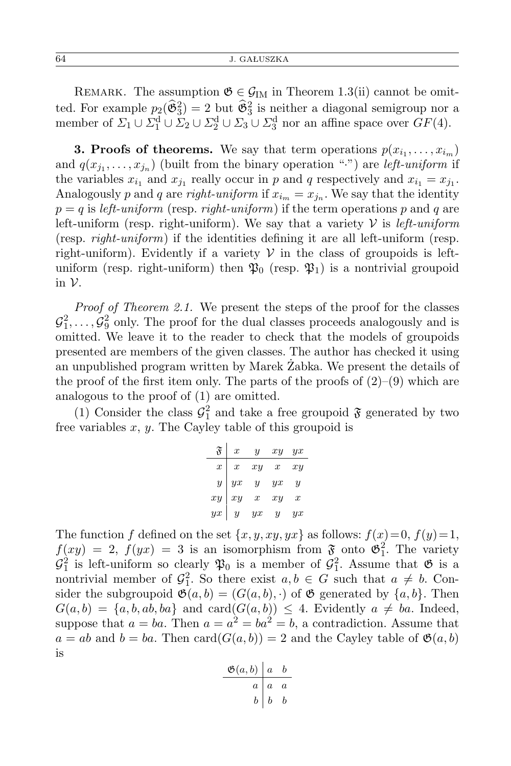REMARK. The assumption  $\mathfrak{G} \in \mathcal{G}_{IM}$  in Theorem 1.3(ii) cannot be omitted. For example  $p_2(\hat{\mathfrak{G}}_3^2) = 2$  but  $\hat{\mathfrak{G}}_3^2$  is neither a diagonal semigroup nor a member of  $\Sigma_1 \cup \Sigma_1^d \cup \Sigma_2 \cup \Sigma_2^d \cup \Sigma_3 \cup \Sigma_3^d$  nor an affine space over  $GF(4)$ .

**3. Proofs of theorems.** We say that term operations  $p(x_{i_1}, \ldots, x_{i_m})$ and  $q(x_{j_1}, \ldots, x_{j_n})$  (built from the binary operation "*·*") are *left-uniform* if the variables  $x_{i_1}$  and  $x_{j_1}$  really occur in *p* and *q* respectively and  $x_{i_1} = x_{j_1}$ . Analogously p and q are *right-uniform* if  $x_{i_m} = x_{j_n}$ . We say that the identity  $p = q$  is *left-uniform* (resp. *right-uniform*) if the term operations p and q are left-uniform (resp. right-uniform). We say that a variety  $\mathcal V$  is *left-uniform* (resp. *right-uniform*) if the identities defining it are all left-uniform (resp. right-uniform). Evidently if a variety  $V$  in the class of groupoids is leftuniform (resp. right-uniform) then  $\mathfrak{P}_0$  (resp.  $\mathfrak{P}_1$ ) is a nontrivial groupoid in *V*.

*Proof of Theorem 2.1.* We present the steps of the proof for the classes  $\mathcal{G}_1^2, \ldots, \mathcal{G}_9^2$  only. The proof for the dual classes proceeds analogously and is omitted. We leave it to the reader to check that the models of groupoids presented are members of the given classes. The author has checked it using an unpublished program written by Marek Żabka. We present the details of the proof of the first item only. The parts of the proofs of  $(2)$ – $(9)$  which are analogous to the proof of (1) are omitted.

(1) Consider the class  $\mathcal{G}_1^2$  and take a free groupoid  $\mathfrak F$  generated by two free variables *x*, *y*. The Cayley table of this groupoid is

| $\mathfrak{F}$   | $\boldsymbol{x}$ | $\boldsymbol{\mathit{u}}$ | xy               | yx               |
|------------------|------------------|---------------------------|------------------|------------------|
| $\boldsymbol{x}$ | $\boldsymbol{x}$ | xy                        | $\boldsymbol{x}$ | xy               |
| $\overline{y}$   | $\overline{yx}$  | $\overline{y}$            | yx               | $\overline{y}$   |
| $\dot{xy}$       | xy               | $\boldsymbol{x}$          | xy               | $\boldsymbol{x}$ |
| yx               | $\overline{y}$   | yx                        | и                | yx               |

The function *f* defined on the set  $\{x, y, xy, yx\}$  as follows:  $f(x)=0, f(y)=1$ ,  $f(xy) = 2$ ,  $f(yx) = 3$  is an isomorphism from  $\mathfrak{F}$  onto  $\mathfrak{G}^2$ . The variety  $\mathcal{G}_1^2$  is left-uniform so clearly  $\mathfrak{P}_0$  is a member of  $\mathcal{G}_1^2$ . Assume that  $\mathfrak{G}$  is a nontrivial member of  $\mathcal{G}_1^2$ . So there exist  $a, b \in G$  such that  $a \neq b$ . Consider the subgroupoid  $\mathfrak{G}(a, b) = (G(a, b), \cdot)$  of  $\mathfrak{G}$  generated by  $\{a, b\}$ . Then  $G(a, b) = \{a, b, ab, ba\}$  and card $(G(a, b)) \leq 4$ . Evidently  $a \neq ba$ . Indeed, suppose that  $a = ba$ . Then  $a = a^2 = ba^2 = b$ , a contradiction. Assume that  $a = ab$  and  $b = ba$ . Then card $(G(a, b)) = 2$  and the Cayley table of  $\mathfrak{G}(a, b)$ is

$$
\begin{array}{c|cc}\n\mathfrak{G}(a,b) & a & b \\
\hline\na & a & a \\
b & b & b\n\end{array}
$$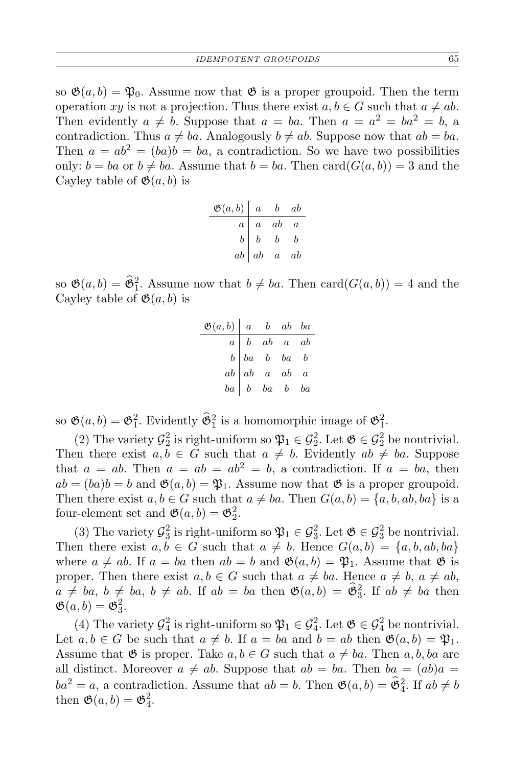so  $\mathfrak{G}(a, b) = \mathfrak{P}_0$ . Assume now that  $\mathfrak{G}$  is a proper groupoid. Then the term operation *xy* is not a projection. Thus there exist  $a, b \in G$  such that  $a \neq ab$ . Then evidently  $a \neq b$ . Suppose that  $a = ba$ . Then  $a = a^2 = ba^2 = b$ , a contradiction. Thus  $a \neq ba$ . Analogously  $b \neq ab$ . Suppose now that  $ab = ba$ . Then  $a = ab^2 = (ba)b = ba$ , a contradiction. So we have two possibilities only:  $b = ba$  or  $b \neq ba$ . Assume that  $b = ba$ . Then card( $G(a, b)$ ) = 3 and the Cayley table of  $\mathfrak{G}(a, b)$  is

| $\mathfrak{G}(a,b) \mid a$ |                     | $b$ ab           |                |
|----------------------------|---------------------|------------------|----------------|
| $\boldsymbol{a}$           | $\boldsymbol{a}$    | ab               | $\overline{a}$ |
| $\mathfrak{b}$             | $\boldsymbol{b}$    | $\boldsymbol{b}$ | b              |
|                            | $ab\quad ab\quad a$ |                  | ab             |

so  $\mathfrak{G}(a, b) = \widehat{\mathfrak{G}}_1^2$ . Assume now that  $b \neq ba$ . Then  $\text{card}(G(a, b)) = 4$  and the Cayley table of  $\mathfrak{G}(a, b)$  is

| $\mathfrak{G}(a,b)$ a b ab ba |                                                                                                                                             |  |  |
|-------------------------------|---------------------------------------------------------------------------------------------------------------------------------------------|--|--|
|                               |                                                                                                                                             |  |  |
|                               |                                                                                                                                             |  |  |
|                               |                                                                                                                                             |  |  |
|                               | $\begin{array}{ c cccc } \hline a & b & ab & a & ab \\ b & ba & b & ba & b \\ ab & a & ab & a \\ ba & b & ba & b & ba \\\hline \end{array}$ |  |  |

so  $\mathfrak{G}(a, b) = \mathfrak{G}_1^2$ . Evidently  $\widehat{\mathfrak{G}}_1^2$  is a homomorphic image of  $\mathfrak{G}_1^2$ .

(2) The variety  $\mathcal{G}_2^2$  is right-uniform so  $\mathfrak{P}_1 \in \mathcal{G}_2^2$ . Let  $\mathfrak{G} \in \mathcal{G}_2^2$  be nontrivial. Then there exist  $a, b \in G$  such that  $a \neq b$ . Evidently  $ab \neq ba$ . Suppose that  $a = ab$ . Then  $a = ab = ab^2 = b$ , a contradiction. If  $a = ba$ , then  $ab = (ba)b = b$  and  $\mathfrak{G}(a, b) = \mathfrak{P}_1$ . Assume now that  $\mathfrak{G}$  is a proper groupoid. Then there exist  $a, b \in G$  such that  $a \neq ba$ . Then  $G(a, b) = \{a, b, ab, ba\}$  is a four-element set and  $\mathfrak{G}(a, b) = \mathfrak{G}_2^2$ .

(3) The variety  $\mathcal{G}_3^2$  is right-uniform so  $\mathfrak{P}_1 \in \mathcal{G}_3^2$ . Let  $\mathfrak{G} \in \mathcal{G}_3^2$  be nontrivial. Then there exist  $a, b \in G$  such that  $a \neq b$ . Hence  $G(a, b) = \{a, b, ab, ba\}$ where  $a \neq ab$ . If  $a = ba$  then  $ab = b$  and  $\mathfrak{G}(a, b) = \mathfrak{P}_1$ . Assume that  $\mathfrak{G}$  is proper. Then there exist  $a, b \in G$  such that  $a \neq ba$ . Hence  $a \neq b$ ,  $a \neq ab$ ,  $a \neq ba, b \neq ba, b \neq ab$ . If  $ab = ba$  then  $\mathfrak{G}(a, b) = \mathfrak{G}_3^2$ . If  $ab \neq ba$  then  $\mathfrak{G}(a,b)=\mathfrak{G}_3^2.$ 

(4) The variety  $\mathcal{G}_4^2$  is right-uniform so  $\mathfrak{P}_1 \in \mathcal{G}_4^2$ . Let  $\mathfrak{G} \in \mathcal{G}_4^2$  be nontrivial. Let  $a, b \in G$  be such that  $a \neq b$ . If  $a = ba$  and  $b = ab$  then  $\mathfrak{G}(a, b) = \mathfrak{P}_1$ . Assume that  $\mathfrak{G}$  is proper. Take  $a, b \in G$  such that  $a \neq ba$ . Then  $a, b, ba$  are all distinct. Moreover  $a \neq ab$ . Suppose that  $ab = ba$ . Then  $ba = (ab)a$  $ba^2 = a$ , a contradiction. Assume that  $ab = b$ . Then  $\mathfrak{G}(a, b) = \widehat{\mathfrak{G}}_4^2$ . If  $ab \neq b$ then  $\mathfrak{G}(a, b) = \mathfrak{G}_4^2$ .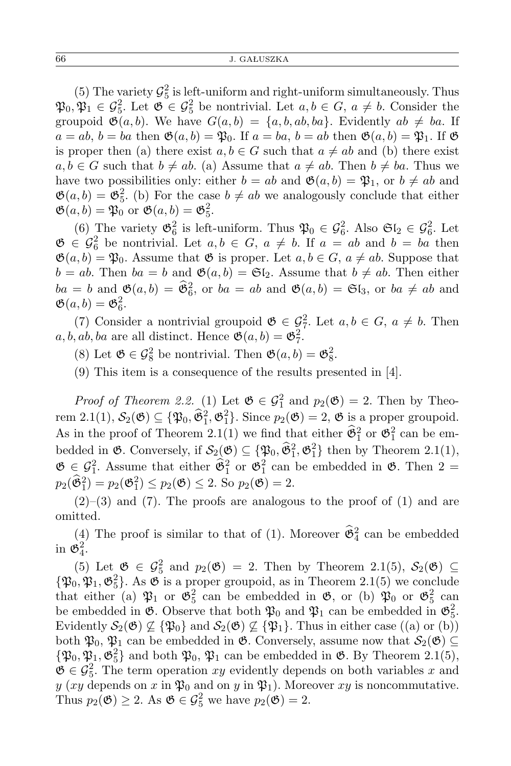(5) The variety  $\mathcal{G}_5^2$  is left-uniform and right-uniform simultaneously. Thus  $\mathfrak{P}_0, \mathfrak{P}_1 \in \mathcal{G}_5^2$ . Let  $\mathfrak{G} \in \mathcal{G}_5^2$  be nontrivial. Let  $a, b \in G$ ,  $a \neq b$ . Consider the groupoid  $\mathfrak{G}(a, b)$ . We have  $G(a, b) = \{a, b, ab, ba\}$ . Evidently  $ab \neq ba$ . If  $a = ab, b = ba$  then  $\mathfrak{G}(a, b) = \mathfrak{P}_0$ . If  $a = ba, b = ab$  then  $\mathfrak{G}(a, b) = \mathfrak{P}_1$ . If  $\mathfrak{G}$ is proper then (a) there exist  $a, b \in G$  such that  $a \neq ab$  and (b) there exist  $a, b \in G$  such that  $b \neq ab$ . (a) Assume that  $a \neq ab$ . Then  $b \neq ba$ . Thus we have two possibilities only: either  $b = ab$  and  $\mathfrak{G}(a, b) = \mathfrak{P}_1$ , or  $b \neq ab$  and  $\mathfrak{G}(a, b) = \mathfrak{G}_5^2$ . (b) For the case  $b \neq ab$  we analogously conclude that either  $\mathfrak{G}(a, b) = \mathfrak{P}_0$  or  $\mathfrak{G}(a, b) = \mathfrak{G}_5^2$ .

(6) The variety  $\mathfrak{G}_6^2$  is left-uniform. Thus  $\mathfrak{P}_0 \in \mathcal{G}_6^2$ . Also  $\mathfrak{S}_2 \in \mathcal{G}_6^2$ . Let  $\mathfrak{G} \in \mathcal{G}_6^2$  **be nontrivial.** Let *a, b* ∈ *G*, *a*  $\neq$  *b*. If *a* = *ab* and *b* = *ba* then  $\mathfrak{G}(a, b) = \mathfrak{P}_0$ . Assume that  $\mathfrak{G}$  is proper. Let  $a, b \in G$ ,  $a \neq ab$ . Suppose that  $b = ab$ . Then  $ba = b$  and  $\mathfrak{G}(a, b) = \mathfrak{G}[\mathfrak{g}]$ . Assume that  $b \neq ab$ . Then either  $ba = b$  and  $\mathfrak{G}(a, b) = \widehat{\mathfrak{G}}_6^2$ , or  $ba = ab$  and  $\mathfrak{G}(a, b) = \mathfrak{G}(a, b)$  and  $\neq ab$  and  $\mathfrak{G}(a,b)=\mathfrak{G}_6^2.$ 

(7) Consider a nontrivial groupoid  $\mathfrak{G} \in \mathcal{G}_7^2$ . Let  $a, b \in G$ ,  $a \neq b$ . Then  $a, b, ab, ba$  are all distinct. Hence  $\mathfrak{G}(a, b) = \mathfrak{G}_7^2$ .

(8) Let  $\mathfrak{G} \in \mathcal{G}_8^2$  be nontrivial. Then  $\mathfrak{G}(a, b) = \mathfrak{G}_8^2$ .

(9) This item is a consequence of the results presented in [4].

*Proof of Theorem 2.2.* (1) Let  $\mathfrak{G} \in \mathcal{G}_1^2$  and  $p_2(\mathfrak{G}) = 2$ . Then by Theorem 2.1(1),  $S_2(\mathfrak{G}) \subseteq {\mathfrak{P}_0, \hat{\mathfrak{G}}_1^2, \mathfrak{G}_1^2}$ . Since  $p_2(\mathfrak{G}) = 2$ ,  $\mathfrak{G}$  is a proper groupoid. As in the proof of Theorem 2.1(1) we find that either  $\hat{\mathfrak{G}}_1^2$  or  $\mathfrak{G}_1^2$  can be embedded in  $\mathfrak{G}$ . Conversely, if  $\mathcal{S}_2(\mathfrak{G}) \subseteq {\mathfrak{P}_0, \widehat{\mathfrak{G}}_1^2, \mathfrak{G}_1^2}$  then by Theorem 2.1(1),  $\mathfrak{G} \in \mathcal{G}_1^2$ . Assume that either  $\hat{\mathfrak{G}}_1^2$  or  $\mathfrak{G}_1^2$  can be embedded in  $\mathfrak{G}$ . Then  $2 =$  $p_2(\hat{\mathfrak{G}}_1^2) = p_2(\mathfrak{G}_1^2) \leq p_2(\mathfrak{G}) \leq 2.$  So  $p_2(\hat{\mathfrak{G}}) = 2.$ 

 $(2)$ – $(3)$  and  $(7)$ . The proofs are analogous to the proof of  $(1)$  and are omitted.

(4) The proof is similar to that of (1). Moreover  $\hat{\mathfrak{G}}_4^2$  can be embedded in  $\mathfrak{G}_4^2$ .

(5) Let  $\mathfrak{G} \in \mathcal{G}_5^2$  and  $p_2(\mathfrak{G}) = 2$ . Then by Theorem 2.1(5),  $\mathcal{S}_2(\mathfrak{G}) \subseteq$  ${\mathfrak{P}_0, \mathfrak{P}_1, \mathfrak{G}_5^2}$ . As  $\mathfrak G$  is a proper groupoid, as in Theorem 2.1(5) we conclude that either (a)  $\mathfrak{P}_1$  or  $\mathfrak{G}_5^2$  can be embedded in  $\mathfrak{G}$ , or (b)  $\mathfrak{P}_0$  or  $\mathfrak{G}_5^2$  can be embedded in  $\mathfrak{G}$ . Observe that both  $\mathfrak{P}_0$  and  $\mathfrak{P}_1$  can be embedded in  $\mathfrak{G}_5^2$ . Evidently  $S_2(\mathfrak{G}) \nsubseteq {\mathfrak{P}_0}$  and  $S_2(\mathfrak{G}) \nsubseteq {\mathfrak{P}_1}$ . Thus in either case ((a) or (b)) both  $\mathfrak{P}_0$ ,  $\mathfrak{P}_1$  can be embedded in  $\mathfrak{G}$ . Conversely, assume now that  $\mathcal{S}_2(\mathfrak{G}) \subseteq$  ${\mathfrak{P}}_0$ ,  ${\mathfrak{P}}_1$ ,  ${\mathfrak{G}}_5^2$  and both  ${\mathfrak{P}}_0$ ,  ${\mathfrak{P}}_1$  can be embedded in  ${\mathfrak{G}}$ . By Theorem 2.1(5),  $\mathfrak{G} \in \mathcal{G}_5^2$ . The term operation *xy* evidently depends on both variables *x* and  $y$  (*xy* depends on *x* in  $\mathfrak{P}_0$  and on *y* in  $\mathfrak{P}_1$ ). Moreover *xy* is noncommutative. Thus  $p_2(\mathfrak{G}) \geq 2$ . As  $\mathfrak{G} \in \mathcal{G}_5^2$  we have  $p_2(\mathfrak{G}) = 2$ .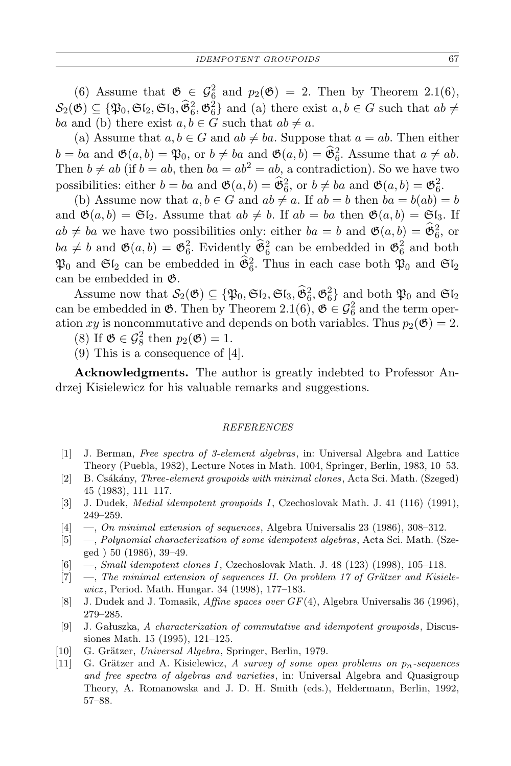(6) Assume that  $\mathfrak{G} \in \mathcal{G}_6^2$  and  $p_2(\mathfrak{G}) = 2$ . Then by Theorem 2.1(6),  $\mathcal{S}_2(\mathfrak{G}) \subseteq \{ \mathfrak{P}_0, \mathfrak{S}_2, \mathfrak{S}_3, \mathfrak{F}_6^2, \mathfrak{G}_6^2 \}$  and (a) there exist  $a, b \in G$  such that  $ab \neq$ *ba* and (b) there exist  $a, b \in G$  such that  $ab \neq a$ .

(a) Assume that  $a, b \in G$  and  $ab \neq ba$ . Suppose that  $a = ab$ . Then either  $b = ba$  and  $\mathfrak{G}(a, b) = \mathfrak{P}_0$ , or  $b \neq ba$  and  $\mathfrak{G}(a, b) = \widehat{\mathfrak{G}}_6^2$ . Assume that  $a \neq ab$ . Then  $b \neq ab$  (if  $b = ab$ , then  $ba = ab^2 = ab$ , a contradiction). So we have two possibilities: either  $b = ba$  and  $\mathfrak{G}(a, b) = \hat{\mathfrak{G}}_6^2$ , or  $b \neq ba$  and  $\mathfrak{G}(a, b) = \mathfrak{G}_6^2$ .

(b) Assume now that  $a, b \in G$  and  $ab \neq a$ . If  $ab = b$  then  $ba = b(ab) = b$ and  $\mathfrak{G}(a, b) = \mathfrak{G}\mathfrak{l}_2$ . Assume that  $ab \neq b$ . If  $ab = ba$  then  $\mathfrak{G}(a, b) = \mathfrak{G}\mathfrak{l}_3$ . If  $ab \neq ba$  we have two possibilities only: either  $ba = b$  and  $\mathfrak{G}(a, b) = \widehat{\mathfrak{G}}_6^2$ , or  $ba \neq b$  and  $\mathfrak{G}(a, b) = \mathfrak{G}_6^2$ . Evidently  $\mathfrak{G}_6^2$  can be embedded in  $\mathfrak{G}_6^2$  and both  $\mathfrak{P}_0$  and  $\mathfrak{S}l_2$  can be embedded in  $\tilde{\mathfrak{G}}_6^2$ . Thus in each case both  $\mathfrak{P}_0$  and  $\mathfrak{S}l_2$ can be embedded in G.

Assume now that  $\mathcal{S}_2(\mathfrak{G}) \subseteq {\mathfrak{P}_0, \mathfrak{S}_2, \mathfrak{S}_3, \hat{\mathfrak{G}}_6^2, \mathfrak{G}_6^2}$  and both  $\mathfrak{P}_0$  and  $\mathfrak{S}_2$ can be embedded in  $\mathfrak{G}$ . Then by Theorem 2.1(6),  $\mathfrak{G} \in \mathcal{G}_6^2$  and the term operation *xy* is noncommutative and depends on both variables. Thus  $p_2(\mathfrak{G}) = 2$ .

(8) If  $\mathfrak{G} \in \mathcal{G}_8^2$  then  $p_2(\mathfrak{G}) = 1$ .

(9) This is a consequence of [4].

**Acknowledgments.** The author is greatly indebted to Professor Andrzej Kisielewicz for his valuable remarks and suggestions.

## *REFERENCES*

- [1] J. Berman, *Free spectra of 3-element algebras*, in: Universal Algebra and Lattice Theory (Puebla, 1982), Lecture Notes in Math. 1004, Springer, Berlin, 1983, 10–53.
- [2] B. Csákány, *Three-element groupoids with minimal clones*, Acta Sci. Math. (Szeged) 45 (1983), 111–117.
- [3] J. Dudek, *Medial idempotent groupoids I*, Czechoslovak Math. J. 41 (116) (1991), 249–259.
- [4] —, *On minimal extension of sequences*, Algebra Universalis 23 (1986), 308–312.
- [5] —, *Polynomial characterization of some idempotent algebras*, Acta Sci. Math. (Szeged ) 50 (1986), 39–49.
- [6] —, *Small idempotent clones I*, Czechoslovak Math. J. 48 (123) (1998), 105–118.
- [7] —, *The minimal extension of sequences II. On problem 17 of Grätzer and Kisielewicz* , Period. Math. Hungar. 34 (1998), 177–183.
- [8] J. Dudek and J. Tomasik, *Affine spaces over GF*(4), Algebra Universalis 36 (1996), 279–285.
- [9] J. Gałuszka, *A characterization of commutative and idempotent groupoids*, Discussiones Math. 15 (1995), 121–125.
- [10] G. Grätzer, *Universal Algebra*, Springer, Berlin, 1979.
- [11] G. Gr¨atzer and A. Kisielewicz, *A survey of some open problems on pn-sequences and free spectra of algebras and varieties*, in: Universal Algebra and Quasigroup Theory, A. Romanowska and J. D. H. Smith (eds.), Heldermann, Berlin, 1992, 57–88.